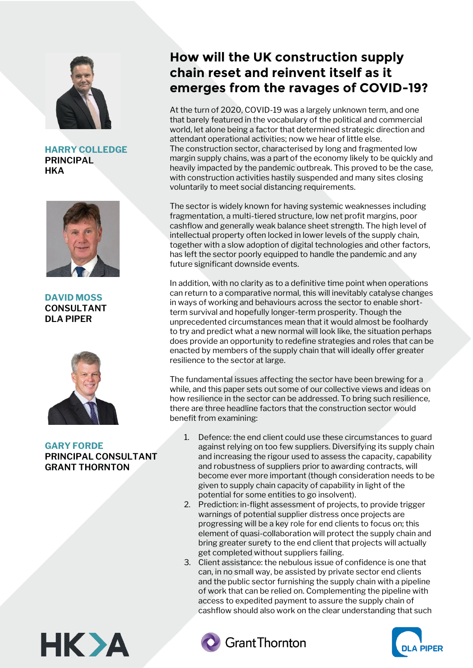

**HARRY COLLEDGE PRINCIPAL HKA** 



**DAVID MOSS CONSULTANT DLA PIPER**



## **GARY FORDE PRINCIPAL CONSULTANT GRANT THORNTON**

# **How will the UK construction supply chain reset and reinvent itself as it emerges from the ravages of COVID-19?**

At the turn of 2020, COVID-19 was a largely unknown term, and one that barely featured in the vocabulary of the political and commercial world, let alone being a factor that determined strategic direction and attendant operational activities; now we hear of little else. The construction sector, characterised by long and fragmented low margin supply chains, was a part of the economy likely to be quickly and heavily impacted by the pandemic outbreak. This proved to be the case, with construction activities hastily suspended and many sites closing voluntarily to meet social distancing requirements.

The sector is widely known for having systemic weaknesses including fragmentation, a multi-tiered structure, low net profit margins, poor cashflow and generally weak balance sheet strength. The high level of intellectual property often locked in lower levels of the supply chain, together with a slow adoption of digital technologies and other factors, has left the sector poorly equipped to handle the pandemic and any future significant downside events.

In addition, with no clarity as to a definitive time point when operations can return to a comparative normal, this will inevitably catalyse changes in ways of working and behaviours across the sector to enable shortterm survival and hopefully longer-term prosperity. Though the unprecedented circumstances mean that it would almost be foolhardy to try and predict what a new normal will look like, the situation perhaps does provide an opportunity to redefine strategies and roles that can be enacted by members of the supply chain that will ideally offer greater resilience to the sector at large.

The fundamental issues affecting the sector have been brewing for a while, and this paper sets out some of our collective views and ideas on how resilience in the sector can be addressed. To bring such resilience, there are three headline factors that the construction sector would benefit from examining:

- 1. Defence: the end client could use these circumstances to guard against relying on too few suppliers. Diversifying its supply chain and increasing the rigour used to assess the capacity, capability and robustness of suppliers prior to awarding contracts, will become ever more important (though consideration needs to be given to supply chain capacity of capability in light of the potential for some entities to go insolvent).
- 2. Prediction: in-flight assessment of projects, to provide trigger warnings of potential supplier distress once projects are progressing will be a key role for end clients to focus on; this element of quasi-collaboration will protect the supply chain and bring greater surety to the end client that projects will actually get completed without suppliers failing.
- 3. Client assistance: the nebulous issue of confidence is one that can, in no small way, be assisted by private sector end clients and the public sector furnishing the supply chain with a pipeline of work that can be relied on. Complementing the pipeline with access to expedited payment to assure the supply chain of cashflow should also work on the clear understanding that such





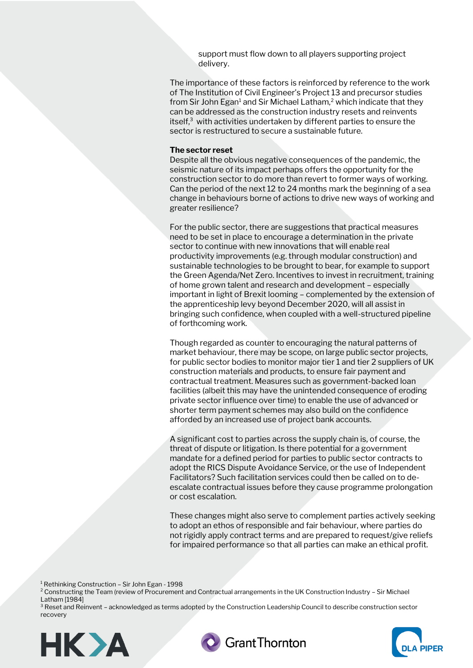support must flow down to all players supporting project delivery.

The importance of these factors is reinforced by reference to the work of The Institution of Civil Engineer's Project 13 and precursor studies from Sir John Egan<sup>1</sup> and Sir Michael Latham,<sup>2</sup> which indicate that they can be addressed as the construction industry resets and reinvents itself, $3$  with activities undertaken by different parties to ensure the sector is restructured to secure a sustainable future.

#### **The sector reset**

Despite all the obvious negative consequences of the pandemic, the seismic nature of its impact perhaps offers the opportunity for the construction sector to do more than revert to former ways of working. Can the period of the next 12 to 24 months mark the beginning of a sea change in behaviours borne of actions to drive new ways of working and greater resilience?

For the public sector, there are suggestions that practical measures need to be set in place to encourage a determination in the private sector to continue with new innovations that will enable real productivity improvements (e.g. through modular construction) and sustainable technologies to be brought to bear, for example to support the Green Agenda/Net Zero. Incentives to invest in recruitment, training of home grown talent and research and development – especially important in light of Brexit looming – complemented by the extension of the apprenticeship levy beyond December 2020, will all assist in bringing such confidence, when coupled with a well-structured pipeline of forthcoming work.

Though regarded as counter to encouraging the natural patterns of market behaviour, there may be scope, on large public sector projects, for public sector bodies to monitor major tier 1 and tier 2 suppliers of UK construction materials and products, to ensure fair payment and contractual treatment. Measures such as government-backed loan facilities (albeit this may have the unintended consequence of eroding private sector influence over time) to enable the use of advanced or shorter term payment schemes may also build on the confidence afforded by an increased use of project bank accounts.

A significant cost to parties across the supply chain is, of course, the threat of dispute or litigation. Is there potential for a government mandate for a defined period for parties to public sector contracts to adopt the RICS Dispute Avoidance Service, or the use of Independent Facilitators? Such facilitation services could then be called on to deescalate contractual issues before they cause programme prolongation or cost escalation.

These changes might also serve to complement parties actively seeking to adopt an ethos of responsible and fair behaviour, where parties do not rigidly apply contract terms and are prepared to request/give reliefs for impaired performance so that all parties can make an ethical profit.

<sup>1</sup> Rethinking Construction – Sir John Egan - 1998

<sup>2</sup> Constructing the Team (review of Procurement and Contractual arrangements in the UK Construction Industry – Sir Michael Latham [1984]

<sup>3</sup> Reset and Reinvent - acknowledged as terms adopted by the Construction Leadership Council to describe construction sector recovery





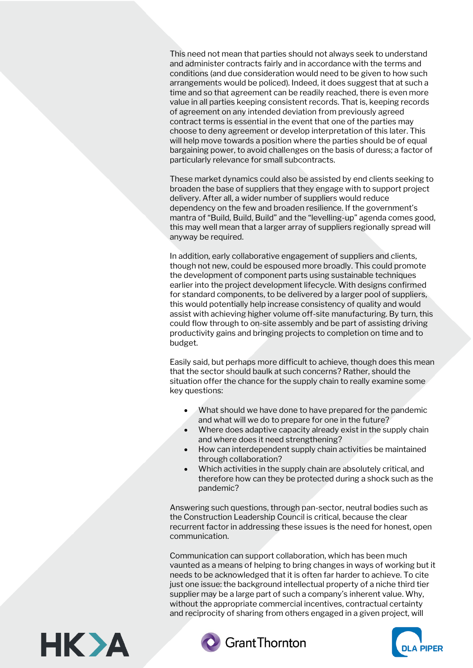This need not mean that parties should not always seek to understand and administer contracts fairly and in accordance with the terms and conditions (and due consideration would need to be given to how such arrangements would be policed). Indeed, it does suggest that at such a time and so that agreement can be readily reached, there is even more value in all parties keeping consistent records. That is, keeping records of agreement on any intended deviation from previously agreed contract terms is essential in the event that one of the parties may choose to deny agreement or develop interpretation of this later. This will help move towards a position where the parties should be of equal bargaining power, to avoid challenges on the basis of duress; a factor of particularly relevance for small subcontracts.

These market dynamics could also be assisted by end clients seeking to broaden the base of suppliers that they engage with to support project delivery. After all, a wider number of suppliers would reduce dependency on the few and broaden resilience. If the government's mantra of "Build, Build, Build" and the "levelling-up" agenda comes good, this may well mean that a larger array of suppliers regionally spread will anyway be required.

In addition, early collaborative engagement of suppliers and clients, though not new, could be espoused more broadly. This could promote the development of component parts using sustainable techniques earlier into the project development lifecycle. With designs confirmed for standard components, to be delivered by a larger pool of suppliers, this would potentially help increase consistency of quality and would assist with achieving higher volume off-site manufacturing. By turn, this could flow through to on-site assembly and be part of assisting driving productivity gains and bringing projects to completion on time and to budget.

Easily said, but perhaps more difficult to achieve, though does this mean that the sector should baulk at such concerns? Rather, should the situation offer the chance for the supply chain to really examine some key questions:

- What should we have done to have prepared for the pandemic and what will we do to prepare for one in the future?
- Where does adaptive capacity already exist in the supply chain and where does it need strengthening?
- How can interdependent supply chain activities be maintained through collaboration?
- Which activities in the supply chain are absolutely critical, and therefore how can they be protected during a shock such as the pandemic?

Answering such questions, through pan-sector, neutral bodies such as the Construction Leadership Council is critical, because the clear recurrent factor in addressing these issues is the need for honest, open communication.

Communication can support collaboration, which has been much vaunted as a means of helping to bring changes in ways of working but it needs to be acknowledged that it is often far harder to achieve. To cite just one issue: the background intellectual property of a niche third tier supplier may be a large part of such a company's inherent value. Why, without the appropriate commercial incentives, contractual certainty and reciprocity of sharing from others engaged in a given project, will





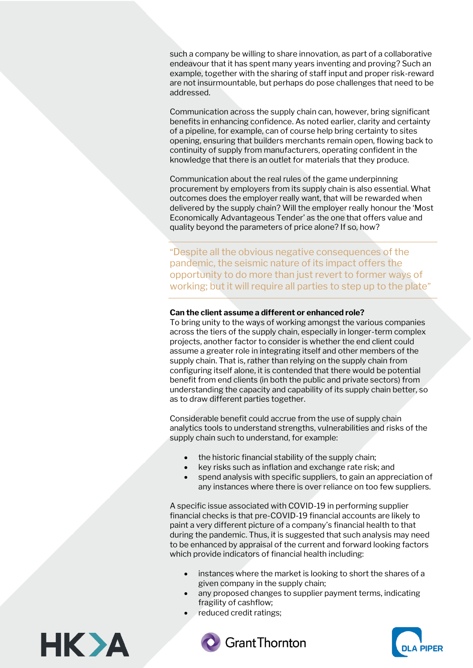such a company be willing to share innovation, as part of a collaborative endeavour that it has spent many years inventing and proving? Such an example, together with the sharing of staff input and proper risk-reward are not insurmountable, but perhaps do pose challenges that need to be addressed.

Communication across the supply chain can, however, bring significant benefits in enhancing confidence. As noted earlier, clarity and certainty of a pipeline, for example, can of course help bring certainty to sites opening, ensuring that builders merchants remain open, flowing back to continuity of supply from manufacturers, operating confident in the knowledge that there is an outlet for materials that they produce.

Communication about the real rules of the game underpinning procurement by employers from its supply chain is also essential. What outcomes does the employer really want, that will be rewarded when delivered by the supply chain? Will the employer really honour the 'Most Economically Advantageous Tender' as the one that offers value and quality beyond the parameters of price alone? If so, how?

"Despite all the obvious negative consequences of the pandemic, the seismic nature of its impact offers the opportunity to do more than just revert to former ways of working; but it will require all parties to step up to the plate"

#### **Can the client assume a different or enhanced role?**

To bring unity to the ways of working amongst the various companies across the tiers of the supply chain, especially in longer-term complex projects, another factor to consider is whether the end client could assume a greater role in integrating itself and other members of the supply chain. That is, rather than relying on the supply chain from configuring itself alone, it is contended that there would be potential benefit from end clients (in both the public and private sectors) from understanding the capacity and capability of its supply chain better, so as to draw different parties together.

Considerable benefit could accrue from the use of supply chain analytics tools to understand strengths, vulnerabilities and risks of the supply chain such to understand, for example:

- the historic financial stability of the supply chain;
- key risks such as inflation and exchange rate risk; and
- spend analysis with specific suppliers, to gain an appreciation of any instances where there is over reliance on too few suppliers.

A specific issue associated with COVID-19 in performing supplier financial checks is that pre-COVID-19 financial accounts are likely to paint a very different picture of a company's financial health to that during the pandemic. Thus, it is suggested that such analysis may need to be enhanced by appraisal of the current and forward looking factors which provide indicators of financial health including:

- instances where the market is looking to short the shares of a given company in the supply chain;
- any proposed changes to supplier payment terms, indicating fragility of cashflow;
- reduced credit ratings;





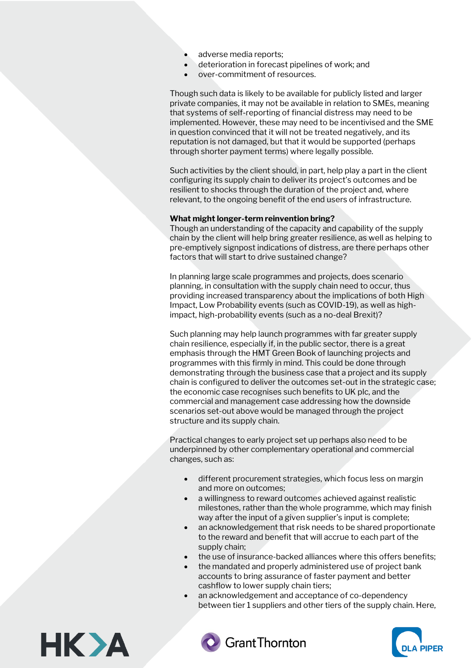- adverse media reports;
- deterioration in forecast pipelines of work; and
- over-commitment of resources.

Though such data is likely to be available for publicly listed and larger private companies, it may not be available in relation to SMEs, meaning that systems of self-reporting of financial distress may need to be implemented. However, these may need to be incentivised and the SME in question convinced that it will not be treated negatively, and its reputation is not damaged, but that it would be supported (perhaps through shorter payment terms) where legally possible.

Such activities by the client should, in part, help play a part in the client configuring its supply chain to deliver its project's outcomes and be resilient to shocks through the duration of the project and, where relevant, to the ongoing benefit of the end users of infrastructure.

### **What might longer-term reinvention bring?**

Though an understanding of the capacity and capability of the supply chain by the client will help bring greater resilience, as well as helping to pre-emptively signpost indications of distress, are there perhaps other factors that will start to drive sustained change?

In planning large scale programmes and projects, does scenario planning, in consultation with the supply chain need to occur, thus providing increased transparency about the implications of both High Impact, Low Probability events (such as COVID-19), as well as highimpact, high-probability events (such as a no-deal Brexit)?

Such planning may help launch programmes with far greater supply chain resilience, especially if, in the public sector, there is a great emphasis through the HMT Green Book of launching projects and programmes with this firmly in mind. This could be done through demonstrating through the business case that a project and its supply chain is configured to deliver the outcomes set-out in the strategic case; the economic case recognises such benefits to UK plc, and the commercial and management case addressing how the downside scenarios set-out above would be managed through the project structure and its supply chain.

Practical changes to early project set up perhaps also need to be underpinned by other complementary operational and commercial changes, such as:

- different procurement strategies, which focus less on margin and more on outcomes;
- a willingness to reward outcomes achieved against realistic milestones, rather than the whole programme, which may finish way after the input of a given supplier's input is complete;
- an acknowledgement that risk needs to be shared proportionate to the reward and benefit that will accrue to each part of the supply chain;
- the use of insurance-backed alliances where this offers benefits;
- the mandated and properly administered use of project bank accounts to bring assurance of faster payment and better cashflow to lower supply chain tiers;
- an acknowledgement and acceptance of co-dependency between tier 1 suppliers and other tiers of the supply chain. Here,